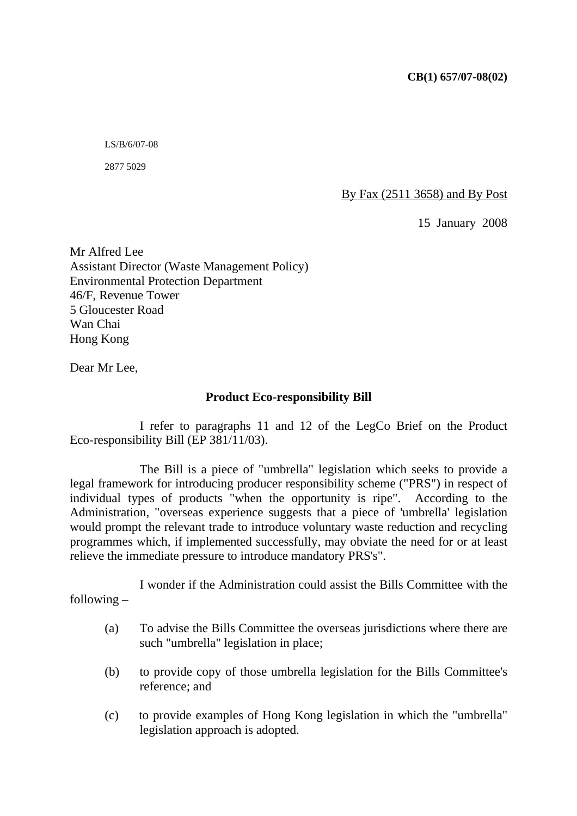LS/B/6/07-08

2877 5029

By Fax (2511 3658) and By Post

15 January 2008

Mr Alfred Lee Assistant Director (Waste Management Policy) Environmental Protection Department 46/F, Revenue Tower 5 Gloucester Road Wan Chai Hong Kong

Dear Mr Lee,

## **Product Eco-responsibility Bill**

 I refer to paragraphs 11 and 12 of the LegCo Brief on the Product Eco-responsibility Bill (EP 381/11/03).

 The Bill is a piece of "umbrella" legislation which seeks to provide a legal framework for introducing producer responsibility scheme ("PRS") in respect of individual types of products "when the opportunity is ripe". According to the Administration, "overseas experience suggests that a piece of 'umbrella' legislation would prompt the relevant trade to introduce voluntary waste reduction and recycling programmes which, if implemented successfully, may obviate the need for or at least relieve the immediate pressure to introduce mandatory PRS's".

I wonder if the Administration could assist the Bills Committee with the

following –

- (a) To advise the Bills Committee the overseas jurisdictions where there are such "umbrella" legislation in place;
- (b) to provide copy of those umbrella legislation for the Bills Committee's reference; and
- (c) to provide examples of Hong Kong legislation in which the "umbrella" legislation approach is adopted.